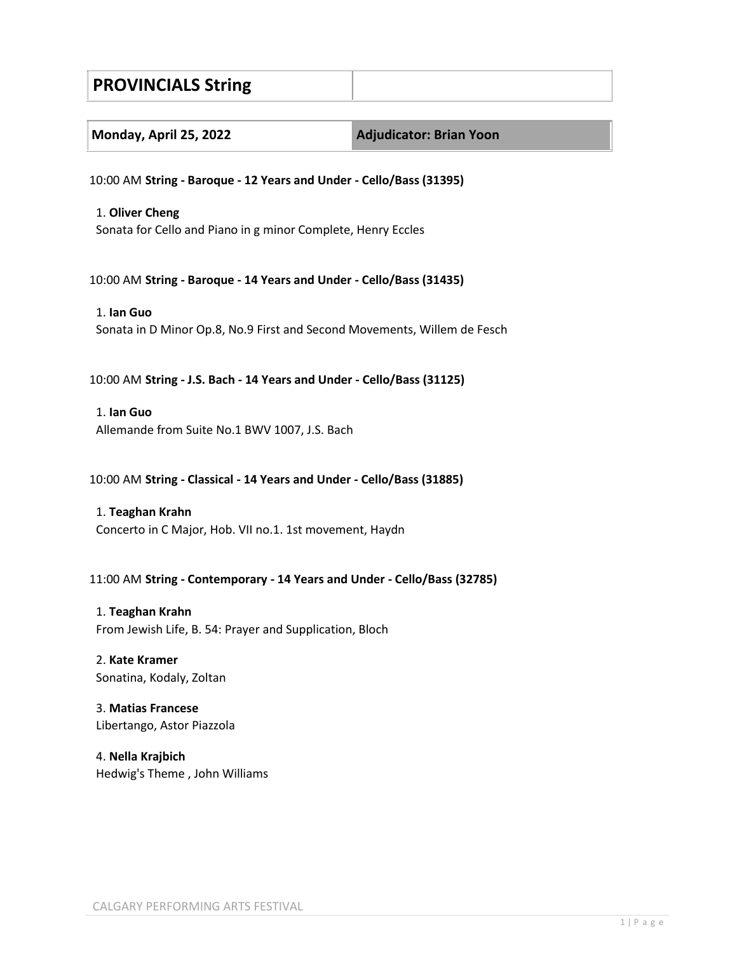# **PROVINCIALS String**

| Monday, April 25, 2022 |  |  |
|------------------------|--|--|
|------------------------|--|--|

**Monday, April 25, 2022 Adjudicator: Brian Yoon**

10:00 AM **String - Baroque - 12 Years and Under - Cello/Bass (31395)**

## 1. **Oliver Cheng**

Sonata for Cello and Piano in g minor Complete, Henry Eccles

10:00 AM **String - Baroque - 14 Years and Under - Cello/Bass (31435)**

## 1. **Ian Guo** Sonata in D Minor Op.8, No.9 First and Second Movements, Willem de Fesch

## 10:00 AM **String - J.S. Bach - 14 Years and Under - Cello/Bass (31125)**

## 1. **Ian Guo**

Allemande from Suite No.1 BWV 1007, J.S. Bach

## 10:00 AM **String - Classical - 14 Years and Under - Cello/Bass (31885)**

1. **Teaghan Krahn** Concerto in C Major, Hob. VII no.1. 1st movement, Haydn

## 11:00 AM **String - Contemporary - 14 Years and Under - Cello/Bass (32785)**

1. **Teaghan Krahn** From Jewish Life, B. 54: Prayer and Supplication, Bloch

## 2. **Kate Kramer** Sonatina, Kodaly, Zoltan

## 3. **Matias Francese** Libertango, Astor Piazzola

4. **Nella Krajbich** Hedwig's Theme , John Williams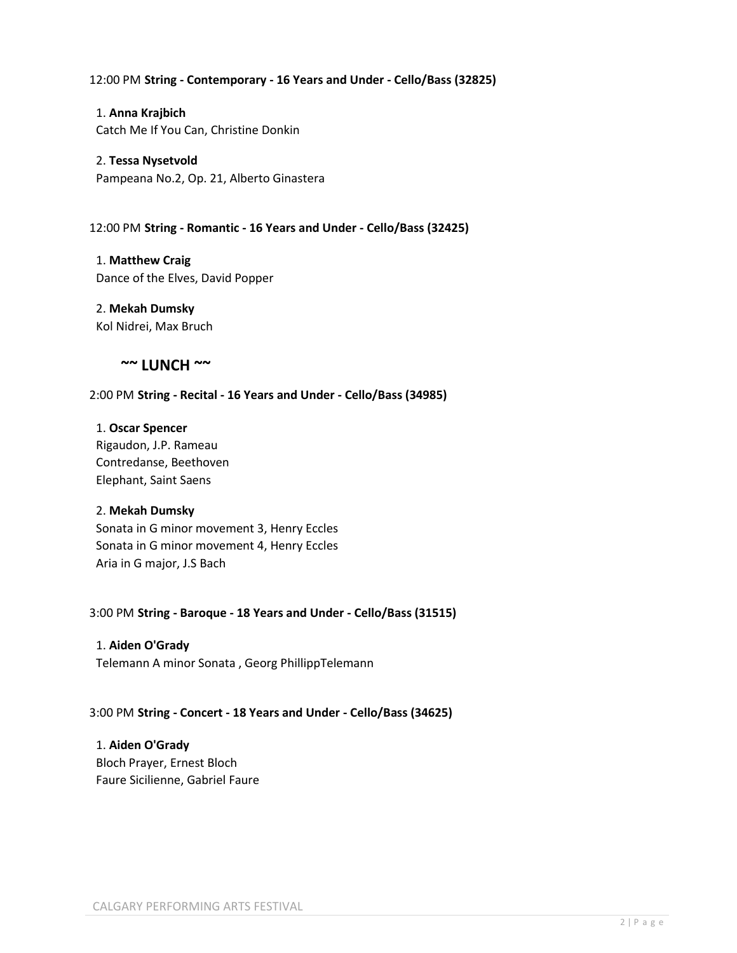## 12:00 PM **String - Contemporary - 16 Years and Under - Cello/Bass (32825)**

1. **Anna Krajbich** Catch Me If You Can, Christine Donkin

2. **Tessa Nysetvold** Pampeana No.2, Op. 21, Alberto Ginastera

12:00 PM **String - Romantic - 16 Years and Under - Cello/Bass (32425)**

1. **Matthew Craig** Dance of the Elves, David Popper

2. **Mekah Dumsky** Kol Nidrei, Max Bruch

## **~~ LUNCH ~~**

2:00 PM **String - Recital - 16 Years and Under - Cello/Bass (34985)**

## 1. **Oscar Spencer**

Rigaudon, J.P. Rameau Contredanse, Beethoven Elephant, Saint Saens

## 2. **Mekah Dumsky**

Sonata in G minor movement 3, Henry Eccles Sonata in G minor movement 4, Henry Eccles Aria in G major, J.S Bach

3:00 PM **String - Baroque - 18 Years and Under - Cello/Bass (31515)**

## 1. **Aiden O'Grady**

Telemann A minor Sonata , Georg PhillippTelemann

## 3:00 PM **String - Concert - 18 Years and Under - Cello/Bass (34625)**

1. **Aiden O'Grady** Bloch Prayer, Ernest Bloch Faure Sicilienne, Gabriel Faure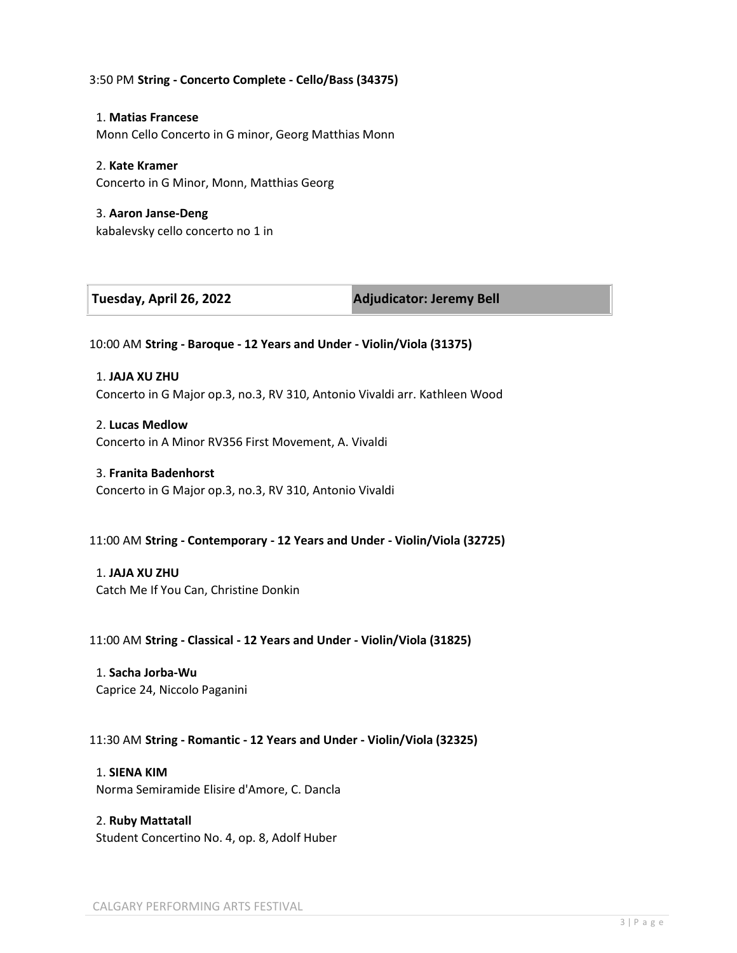## 3:50 PM **String - Concerto Complete - Cello/Bass (34375)**

1. **Matias Francese** Monn Cello Concerto in G minor, Georg Matthias Monn

### 2. **Kate Kramer**

Concerto in G Minor, Monn, Matthias Georg

3. **Aaron Janse-Deng** kabalevsky cello concerto no 1 in

| Tuesday, April 26, 2022 |  |  |  |
|-------------------------|--|--|--|
|-------------------------|--|--|--|

**Tuesday, April 26, 2022 Adjudicator: Jeremy Bell**

10:00 AM **String - Baroque - 12 Years and Under - Violin/Viola (31375)**

1. **JAJA XU ZHU** Concerto in G Major op.3, no.3, RV 310, Antonio Vivaldi arr. Kathleen Wood

2. **Lucas Medlow** Concerto in A Minor RV356 First Movement, A. Vivaldi

### 3. **Franita Badenhorst**

Concerto in G Major op.3, no.3, RV 310, Antonio Vivaldi

## 11:00 AM **String - Contemporary - 12 Years and Under - Violin/Viola (32725)**

1. **JAJA XU ZHU** Catch Me If You Can, Christine Donkin

11:00 AM **String - Classical - 12 Years and Under - Violin/Viola (31825)**

1. **Sacha Jorba-Wu** Caprice 24, Niccolo Paganini

11:30 AM **String - Romantic - 12 Years and Under - Violin/Viola (32325)**

1. **SIENA KIM** Norma Semiramide Elisire d'Amore, C. Dancla

2. **Ruby Mattatall** Student Concertino No. 4, op. 8, Adolf Huber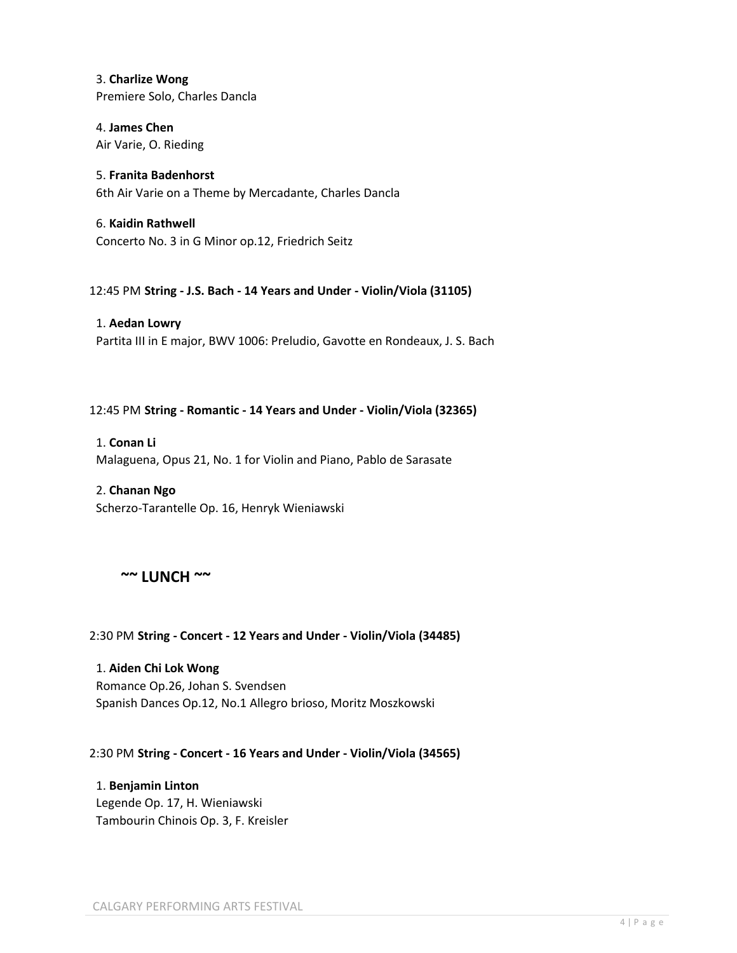3. **Charlize Wong** Premiere Solo, Charles Dancla

4. **James Chen** Air Varie, O. Rieding

5. **Franita Badenhorst** 6th Air Varie on a Theme by Mercadante, Charles Dancla

6. **Kaidin Rathwell** Concerto No. 3 in G Minor op.12, Friedrich Seitz

12:45 PM **String - J.S. Bach - 14 Years and Under - Violin/Viola (31105)**

1. **Aedan Lowry** Partita III in E major, BWV 1006: Preludio, Gavotte en Rondeaux, J. S. Bach

## 12:45 PM **String - Romantic - 14 Years and Under - Violin/Viola (32365)**

1. **Conan Li** Malaguena, Opus 21, No. 1 for Violin and Piano, Pablo de Sarasate

## 2. **Chanan Ngo**

Scherzo-Tarantelle Op. 16, Henryk Wieniawski

## **~~ LUNCH ~~**

## 2:30 PM **String - Concert - 12 Years and Under - Violin/Viola (34485)**

1. **Aiden Chi Lok Wong** Romance Op.26, Johan S. Svendsen Spanish Dances Op.12, No.1 Allegro brioso, Moritz Moszkowski

2:30 PM **String - Concert - 16 Years and Under - Violin/Viola (34565)**

1. **Benjamin Linton** Legende Op. 17, H. Wieniawski Tambourin Chinois Op. 3, F. Kreisler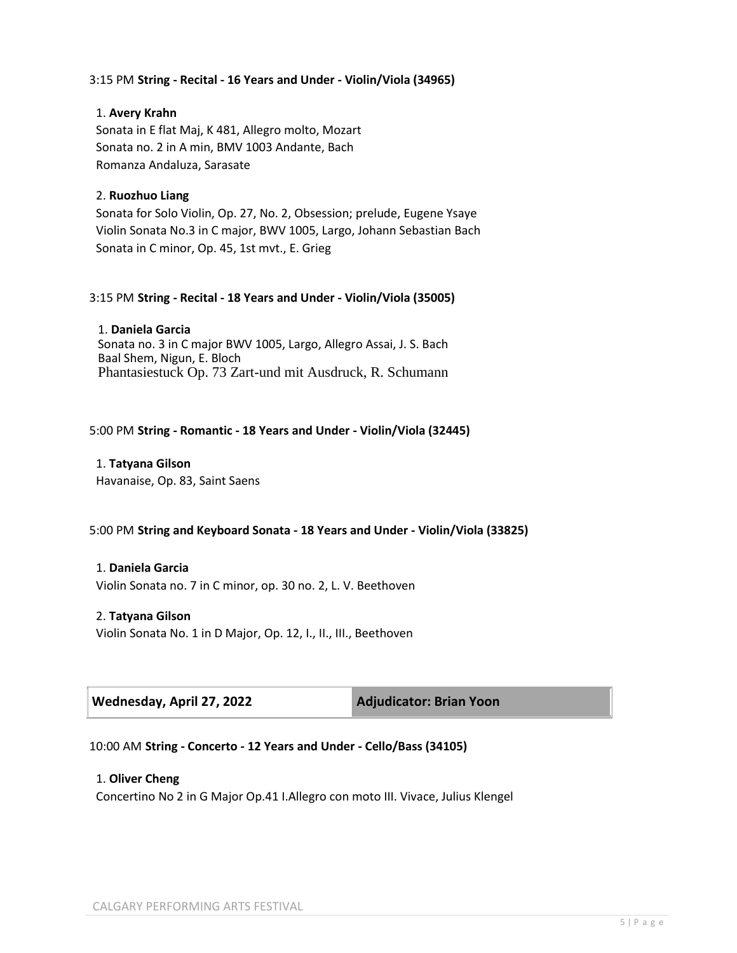## 3:15 PM **String - Recital - 16 Years and Under - Violin/Viola (34965)**

### 1. **Avery Krahn**

Sonata in E flat Maj, K 481, Allegro molto, Mozart Sonata no. 2 in A min, BMV 1003 Andante, Bach Romanza Andaluza, Sarasate

### 2. **Ruozhuo Liang**

Sonata for Solo Violin, Op. 27, No. 2, Obsession; prelude, Eugene Ysaye Violin Sonata No.3 in C major, BWV 1005, Largo, Johann Sebastian Bach Sonata in C minor, Op. 45, 1st mvt., E. Grieg

### 3:15 PM **String - Recital - 18 Years and Under - Violin/Viola (35005)**

1. **Daniela Garcia** Sonata no. 3 in C major BWV 1005, Largo, Allegro Assai, J. S. Bach Baal Shem, Nigun, E. Bloch Phantasiestuck Op. 73 Zart-und mit Ausdruck, R. Schumann

## 5:00 PM **String - Romantic - 18 Years and Under - Violin/Viola (32445)**

1. **Tatyana Gilson** Havanaise, Op. 83, Saint Saens

#### 5:00 PM **String and Keyboard Sonata - 18 Years and Under - Violin/Viola (33825)**

#### 1. **Daniela Garcia**

Violin Sonata no. 7 in C minor, op. 30 no. 2, L. V. Beethoven

### 2. **Tatyana Gilson**

Violin Sonata No. 1 in D Major, Op. 12, I., II., III., Beethoven

| Wednesday, April 27, 2022 |
|---------------------------|
|---------------------------|

**Adjudicator: Brian Yoon** 

#### 10:00 AM **String - Concerto - 12 Years and Under - Cello/Bass (34105)**

#### 1. **Oliver Cheng**

Concertino No 2 in G Major Op.41 I.Allegro con moto III. Vivace, Julius Klengel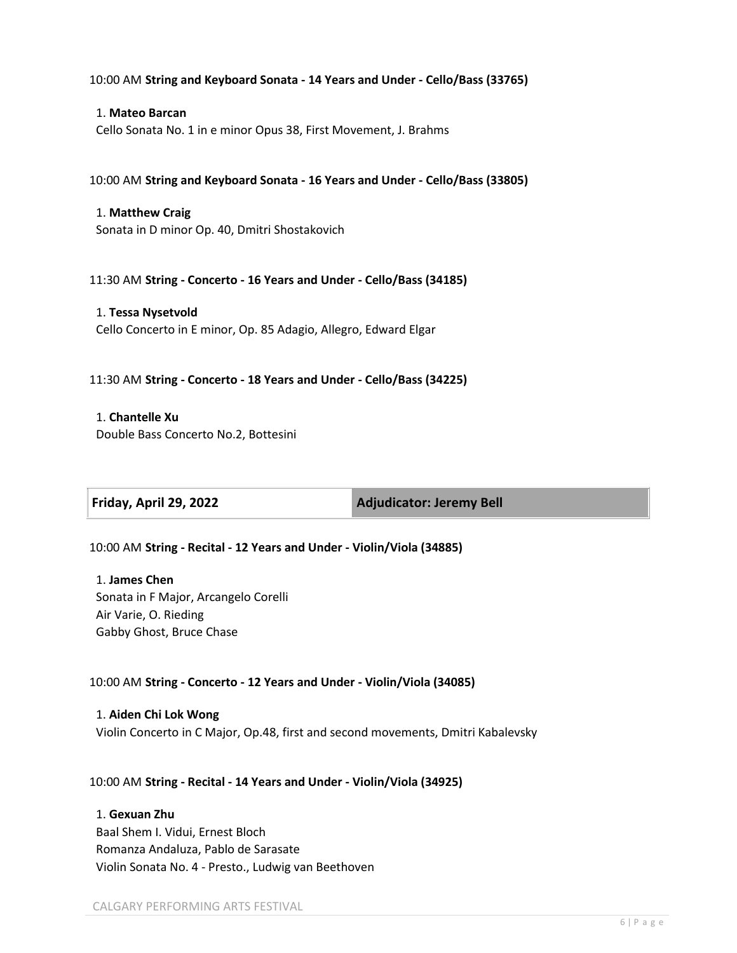10:00 AM **String and Keyboard Sonata - 14 Years and Under - Cello/Bass (33765)**

1. **Mateo Barcan** Cello Sonata No. 1 in e minor Opus 38, First Movement, J. Brahms

10:00 AM **String and Keyboard Sonata - 16 Years and Under - Cello/Bass (33805)**

1. **Matthew Craig** Sonata in D minor Op. 40, Dmitri Shostakovich

11:30 AM **String - Concerto - 16 Years and Under - Cello/Bass (34185)**

1. **Tessa Nysetvold** Cello Concerto in E minor, Op. 85 Adagio, Allegro, Edward Elgar

11:30 AM **String - Concerto - 18 Years and Under - Cello/Bass (34225)**

1. **Chantelle Xu** Double Bass Concerto No.2, Bottesini

**Friday, April 29, 2022 Adjudicator: Jeremy Bell**

10:00 AM **String - Recital - 12 Years and Under - Violin/Viola (34885)**

1. **James Chen** Sonata in F Major, Arcangelo Corelli Air Varie, O. Rieding Gabby Ghost, Bruce Chase

10:00 AM **String - Concerto - 12 Years and Under - Violin/Viola (34085)**

1. **Aiden Chi Lok Wong** Violin Concerto in C Major, Op.48, first and second movements, Dmitri Kabalevsky

10:00 AM **String - Recital - 14 Years and Under - Violin/Viola (34925)**

1. **Gexuan Zhu**

Baal Shem I. Vidui, Ernest Bloch Romanza Andaluza, Pablo de Sarasate Violin Sonata No. 4 - Presto., Ludwig van Beethoven